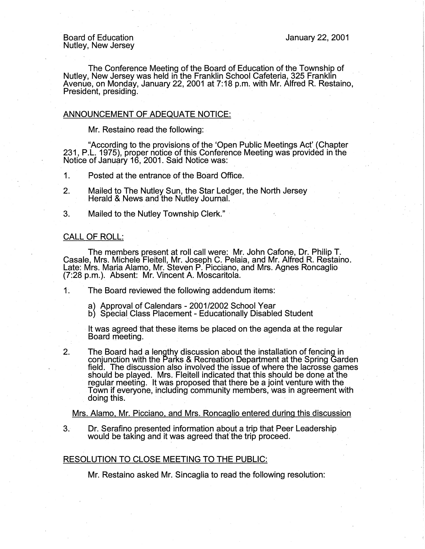The Conference Meeting of the Board of Education of the Township of Nutley, New Jersey was held in the Franklin School Cafeteria, 325 Franklin Avenue, on Monday, January 22, 2001 at 7:18 p.m. with Mr. Alfred R. Restaino, President, presiding.

## ANNOUNCEMENT OF ADEQUATE NOTICE:

Mr. Restaino read the following:

"According to the provisions of the 'Open Public Meetings Act' (Chapter 231, P.L. 1975), proper notice of this Conference Meeting was provided in the Notice of January 16, 2001. Said Notice was:

- 1. Posted at the entrance of the Board Office.
- 2. Mailed to The Nutley Sun, the Star Ledger, the North Jersey Herald & News and the Nutley Journal.
- 3. Mailed to the Nutley Township Clerk." ·

## CALL OF ROLL:

The members present at roll call were: Mr. John Cafone, Dr. Philip T. Casale, Mrs. Michele Fleitell, Mr. Joseph C. Pelaia, and Mr. Alfred R. Restaino. Late: Mrs. Maria Alamo, Mr. Steven P. Picciano, and Mrs. Agnes Roncaglio (7:28 p.m.). Absent: Mr. Vincent A. Moscaritola.

1. The Board reviewed the following addendum items:

- a) Approval of Calendars 2001/2002 School Year
- b) Special Class Placement Educationally Disabled Student

It was agreed that these items be placed on the agenda at the regular Board meeting. .

2. The Board had a lengthy discussion about the installation of fencing in conjunction with the Parks & Recreation Department at the Spring Garden field. The discussion also involved the issue of where the lacrosse games should be played. Mrs. Fleitell indicated that this should be done at the regular meeting. It was proposed that there be a joint venture with the Town if everyone, including community members, was in agreement with doing this.

Mrs. Alamo, Mr. Picciano, and Mrs. Roncaglio entered during this discussion

3. Dr. Serafino presented information about a trip that Peer Leadership would be taking and it was agreed that the trip proceed.

## RESOLUTION TO CLOSE MEETING TO THE PUBLIC:

Mr. Restaino asked Mr. Sincaglia to read the following resolution: